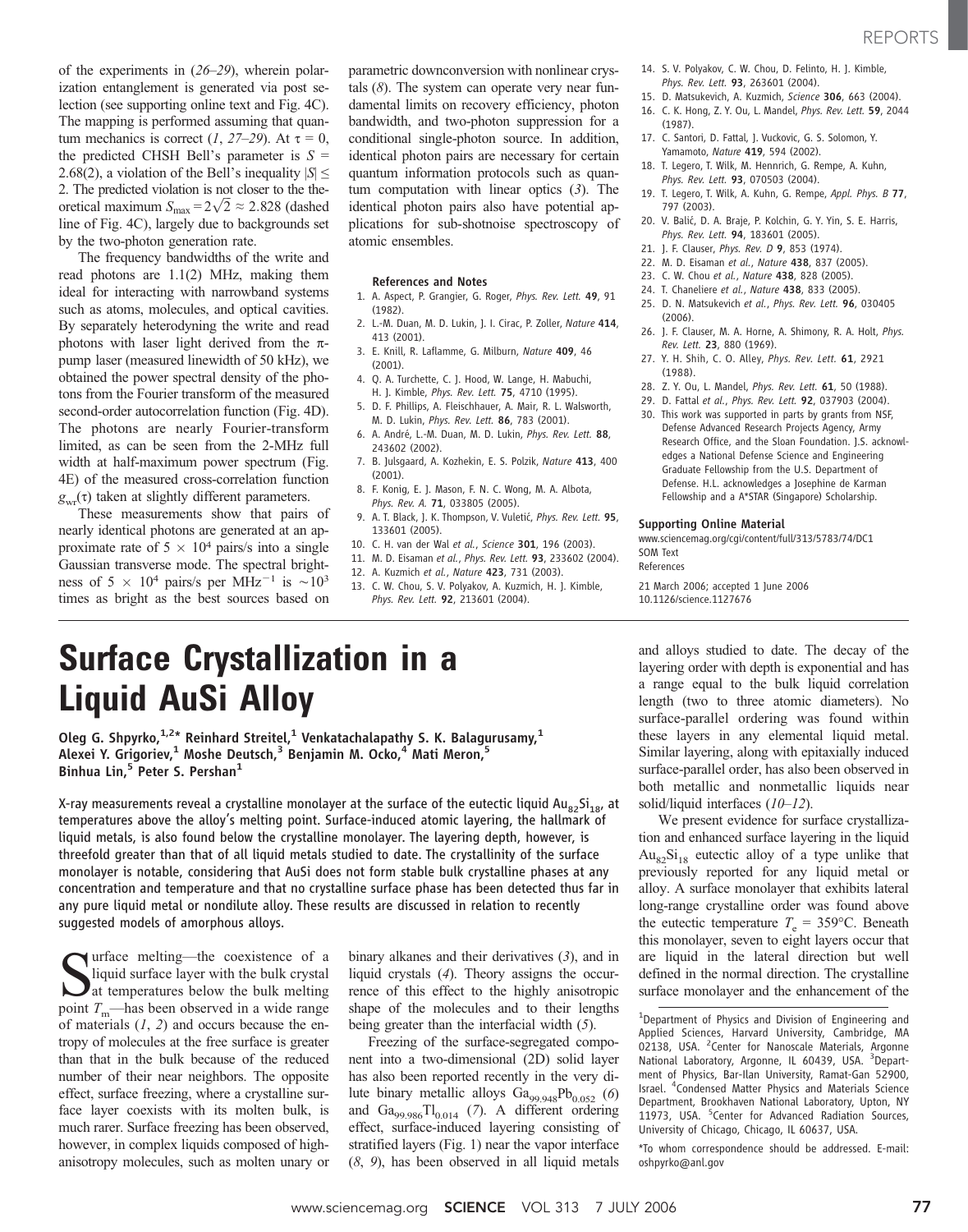of the experiments in (26–29), wherein polarization entanglement is generated via post selection (see supporting online text and Fig. 4C). The mapping is performed assuming that quantum mechanics is correct (1, 27–29). At  $\tau = 0$ , the predicted CHSH Bell's parameter is  $S =$ 2.68(2), a violation of the Bell's inequality  $|S| \leq$ 2. The predicted violation is not closer to the theoretical maximum  $S_{\text{max}} = 2\sqrt{2} \approx 2.828$  (dashed line of Fig. 4C), largely due to backgrounds set by the two-photon generation rate.

The frequency bandwidths of the write and read photons are 1.1(2) MHz, making them ideal for interacting with narrowband systems such as atoms, molecules, and optical cavities. By separately heterodyning the write and read photons with laser light derived from the  $\pi$ pump laser (measured linewidth of 50 kHz), we obtained the power spectral density of the photons from the Fourier transform of the measured second-order autocorrelation function (Fig. 4D). The photons are nearly Fourier-transform limited, as can be seen from the 2-MHz full width at half-maximum power spectrum (Fig. 4E) of the measured cross-correlation function  $g_{\text{wr}}(\tau)$  taken at slightly different parameters.

These measurements show that pairs of nearly identical photons are generated at an approximate rate of  $5 \times 10^4$  pairs/s into a single Gaussian transverse mode. The spectral brightness of  $5 \times 10^4$  pairs/s per MHz<sup>-1</sup> is  $\sim 10^3$ times as bright as the best sources based on

parametric downconversion with nonlinear crystals  $(8)$ . The system can operate very near fundamental limits on recovery efficiency, photon bandwidth, and two-photon suppression for a conditional single-photon source. In addition, identical photon pairs are necessary for certain quantum information protocols such as quantum computation with linear optics  $(3)$ . The identical photon pairs also have potential applications for sub-shotnoise spectroscopy of atomic ensembles.

### References and Notes

- 1. A. Aspect, P. Grangier, G. Roger, Phys. Rev. Lett. 49, 91 (1982).
- 2. L.-M. Duan, M. D. Lukin, J. I. Cirac, P. Zoller, Nature 414, 413 (2001).
- 3. E. Knill, R. Laflamme, G. Milburn, Nature 409, 46 (2001).
- 4. Q. A. Turchette, C. J. Hood, W. Lange, H. Mabuchi, H. J. Kimble, Phys. Rev. Lett. 75, 4710 (1995).
- 5. D. F. Phillips, A. Fleischhauer, A. Mair, R. L. Walsworth, M. D. Lukin, Phys. Rev. Lett. 86, 783 (2001).
- 6. A. André, L.-M. Duan, M. D. Lukin, Phys. Rev. Lett. 88, 243602 (2002).
- 7. B. Julsgaard, A. Kozhekin, E. S. Polzik, Nature 413, 400 (2001).
- 8. F. Konig, E. J. Mason, F. N. C. Wong, M. A. Albota, Phys. Rev. A. **71**, 033805 (2005).
- 9. A. T. Black, J. K. Thompson, V. Vuletić, Phys. Rev. Lett. 95, 133601 (2005).
- 10. C. H. van der Wal et al., Science 301, 196 (2003).
- 11. M. D. Eisaman et al., Phys. Rev. Lett. 93, 233602 (2004). 12. A. Kuzmich et al., Nature 423, 731 (2003).
- 
- 13. C. W. Chou, S. V. Polyakov, A. Kuzmich, H. J. Kimble, Phys. Rev. Lett. 92, 213601 (2004).
- 14. S. V. Polyakov, C. W. Chou, D. Felinto, H. J. Kimble, Phys. Rev. Lett. 93, 263601 (2004).
- 15. D. Matsukevich, A. Kuzmich, Science 306, 663 (2004). 16. C. K. Hong, Z. Y. Ou, L. Mandel, Phys. Rev. Lett. 59, 2044
- (1987). 17. C. Santori, D. Fattal, J. Vuckovic, G. S. Solomon, Y. Yamamoto, Nature 419, 594 (2002).
- 18. T. Legero, T. Wilk, M. Hennrich, G. Rempe, A. Kuhn, Phys. Rev. Lett. 93, 070503 (2004).
- 19. T. Legero, T. Wilk, A. Kuhn, G. Rempe, Appl. Phys. B 77, 797 (2003).
- 20. V. Balić, D. A. Braje, P. Kolchin, G. Y. Yin, S. E. Harris, Phys. Rev. Lett. 94, 183601 (2005).
- 21. J. F. Clauser, *Phys. Rev. D* 9, 853 (1974).
- 22. M. D. Eisaman et al., Nature 438, 837 (2005).
- 23. C. W. Chou et al., Nature 438, 828 (2005).
- 24. T. Chaneliere et al., Nature 438, 833 (2005).
- 25. D. N. Matsukevich et al., Phys. Rev. Lett. 96, 030405 (2006).
- 26. J. F. Clauser, M. A. Horne, A. Shimony, R. A. Holt, Phys. Rev. Lett. 23, 880 (1969).
- 27. Y. H. Shih, C. O. Alley, Phys. Rev. Lett. 61, 2921 (1988).
- 28. Z. Y. Ou, L. Mandel, Phys. Rev. Lett. 61, 50 (1988).
- 29. D. Fattal et al., Phys. Rev. Lett. 92, 037903 (2004).
- 30. This work was supported in parts by grants from NSF, Defense Advanced Research Projects Agency, Army Research Office, and the Sloan Foundation. J.S. acknowledges a National Defense Science and Engineering Graduate Fellowship from the U.S. Department of Defense. H.L. acknowledges a Josephine de Karman Fellowship and a A\*STAR (Singapore) Scholarship.

#### Supporting Online Material

www.sciencemag.org/cgi/content/full/313/5783/74/DC1 SOM Text

References

21 March 2006; accepted 1 June 2006 10.1126/science.1127676

# Surface Crystallization in a Liquid AuSi Alloy

Oleg G. Shpyrko, $^{1,2\star}$  Reinhard Streitel, $^1$  Venkatachalapathy S. K. Balagurusamy, $^1$ Alexei Y. Grigoriev,<sup>1</sup> Moshe Deutsch,<sup>3</sup> Benjamin M. Ocko,<sup>4</sup> Mati Meron,<sup>5</sup> Binhua Lin,<sup>5</sup> Peter S. Pershan<sup>1</sup>

X-ray measurements reveal a crystalline monolayer at the surface of the eutectic liquid  $Au_{82}Si_{18}$ , at temperatures above the alloy's melting point. Surface-induced atomic layering, the hallmark of liquid metals, is also found below the crystalline monolayer. The layering depth, however, is threefold greater than that of all liquid metals studied to date. The crystallinity of the surface monolayer is notable, considering that AuSi does not form stable bulk crystalline phases at any concentration and temperature and that no crystalline surface phase has been detected thus far in any pure liquid metal or nondilute alloy. These results are discussed in relation to recently suggested models of amorphous alloys.

 $\sum_{n=1}^{\infty}$  urface melting—the coexistence of a liquid surface layer with the bulk crystal at temperatures below the bulk melting liquid surface layer with the bulk crystal **at temperatures below the bulk melting** point  $T_{\text{m}}$ —has been observed in a wide range of materials  $(1, 2)$  and occurs because the entropy of molecules at the free surface is greater than that in the bulk because of the reduced number of their near neighbors. The opposite effect, surface freezing, where a crystalline surface layer coexists with its molten bulk, is much rarer. Surface freezing has been observed, however, in complex liquids composed of highanisotropy molecules, such as molten unary or

binary alkanes and their derivatives (3), and in liquid crystals (4). Theory assigns the occurrence of this effect to the highly anisotropic shape of the molecules and to their lengths being greater than the interfacial width (5).

Freezing of the surface-segregated component into a two-dimensional (2D) solid layer has also been reported recently in the very dilute binary metallic alloys  $Ga_{99.948}Pb_{0.052}$  (6) and  $Ga_{99.986}Tl_{0.014}$  (7). A different ordering effect, surface-induced layering consisting of stratified layers (Fig. 1) near the vapor interface (8, 9), has been observed in all liquid metals

and alloys studied to date. The decay of the layering order with depth is exponential and has a range equal to the bulk liquid correlation length (two to three atomic diameters). No surface-parallel ordering was found within these layers in any elemental liquid metal. Similar layering, along with epitaxially induced surface-parallel order, has also been observed in both metallic and nonmetallic liquids near solid/liquid interfaces (10–12).

We present evidence for surface crystallization and enhanced surface layering in the liquid  $Au_{82}Si_{18}$  eutectic alloy of a type unlike that previously reported for any liquid metal or alloy. A surface monolayer that exhibits lateral long-range crystalline order was found above the eutectic temperature  $T_e = 359$ °C. Beneath this monolayer, seven to eight layers occur that are liquid in the lateral direction but well defined in the normal direction. The crystalline surface monolayer and the enhancement of the

\*To whom correspondence should be addressed. E-mail: oshpyrko@anl.gov

<sup>&</sup>lt;sup>1</sup>Department of Physics and Division of Engineering and Applied Sciences, Harvard University, Cambridge, MA 02138, USA. <sup>2</sup>Center for Nanoscale Materials, Argonne National Laboratory, Argonne, IL 60439, USA. <sup>3</sup>Department of Physics, Bar-Ilan University, Ramat-Gan 52900, Israel. <sup>4</sup> Condensed Matter Physics and Materials Science Department, Brookhaven National Laboratory, Upton, NY 11973, USA. <sup>5</sup>Center for Advanced Radiation Sources, University of Chicago, Chicago, IL 60637, USA.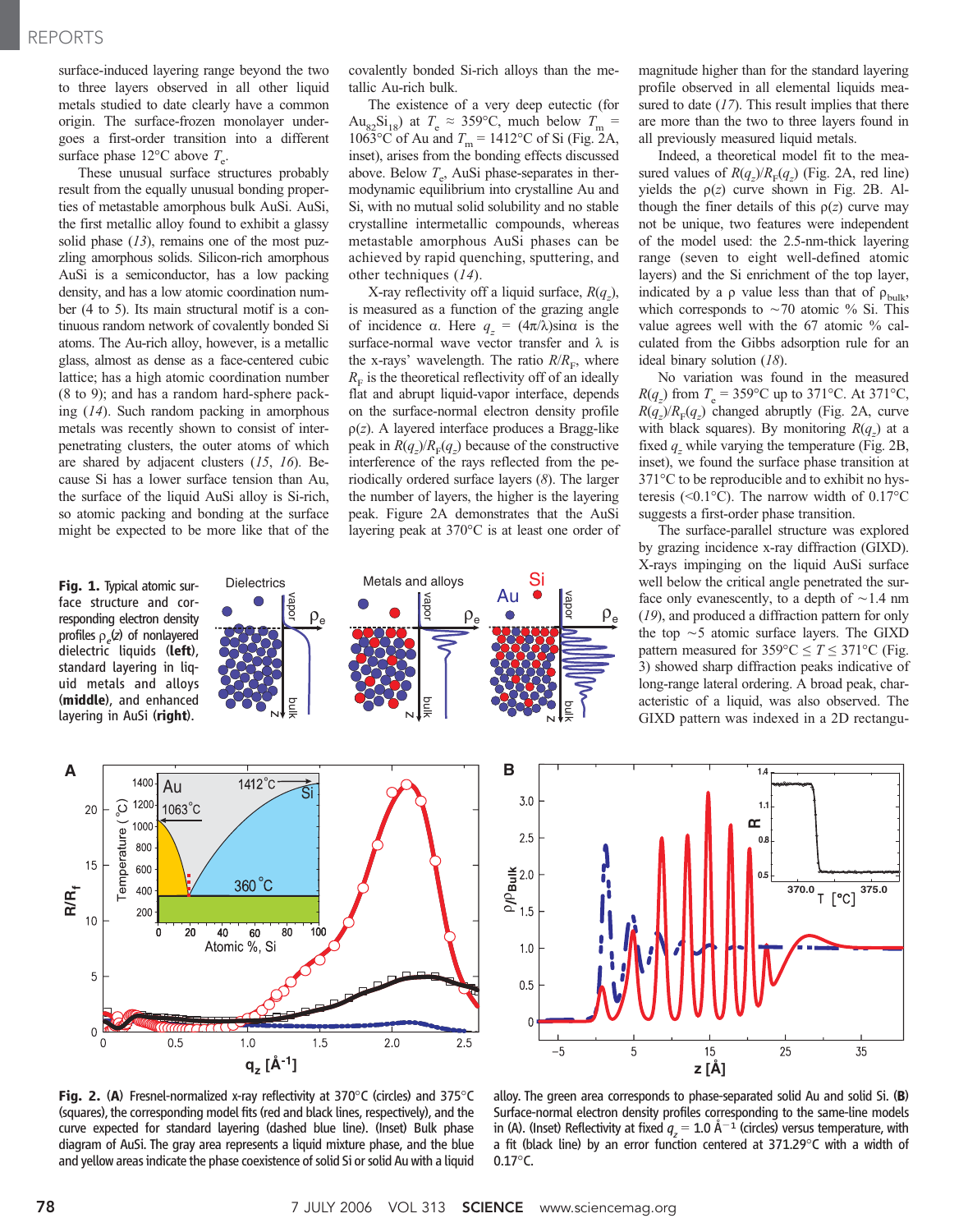surface-induced layering range beyond the two to three layers observed in all other liquid metals studied to date clearly have a common origin. The surface-frozen monolayer undergoes a first-order transition into a different surface phase  $12^{\circ}$ C above  $T_e$ .

These unusual surface structures probably result from the equally unusual bonding properties of metastable amorphous bulk AuSi. AuSi, the first metallic alloy found to exhibit a glassy solid phase  $(13)$ , remains one of the most puzzling amorphous solids. Silicon-rich amorphous AuSi is a semiconductor, has a low packing density, and has a low atomic coordination number (4 to 5). Its main structural motif is a continuous random network of covalently bonded Si atoms. The Au-rich alloy, however, is a metallic glass, almost as dense as a face-centered cubic lattice; has a high atomic coordination number (8 to 9); and has a random hard-sphere packing (14). Such random packing in amorphous metals was recently shown to consist of interpenetrating clusters, the outer atoms of which are shared by adjacent clusters (15, 16). Because Si has a lower surface tension than Au, the surface of the liquid AuSi alloy is Si-rich, so atomic packing and bonding at the surface might be expected to be more like that of the

covalently bonded Si-rich alloys than the metallic Au-rich bulk.

The existence of a very deep eutectic (for Au<sub>82</sub>Si<sub>18</sub>) at  $T_e \approx 359$ °C, much below  $T_m =$  $1063^{\circ}$ C of Au and  $T_m = 1412^{\circ}$ C of Si (Fig. 2A, inset), arises from the bonding effects discussed above. Below  $T_e$ , AuSi phase-separates in thermodynamic equilibrium into crystalline Au and Si, with no mutual solid solubility and no stable crystalline intermetallic compounds, whereas metastable amorphous AuSi phases can be achieved by rapid quenching, sputtering, and other techniques (14).

X-ray reflectivity off a liquid surface,  $R(q_z)$ , is measured as a function of the grazing angle of incidence  $\alpha$ . Here  $q_{\tau} = (4\pi/\lambda)\sin\alpha$  is the surface-normal wave vector transfer and  $\lambda$  is the x-rays' wavelength. The ratio  $R/R<sub>F</sub>$ , where  $R<sub>F</sub>$  is the theoretical reflectivity off of an ideally flat and abrupt liquid-vapor interface, depends on the surface-normal electron density profile  $p(z)$ . A layered interface produces a Bragg-like peak in  $R(q_z)/R_F(q_z)$  because of the constructive interference of the rays reflected from the periodically ordered surface layers (8). The larger the number of layers, the higher is the layering peak. Figure 2A demonstrates that the AuSi layering peak at  $370^{\circ}$ C is at least one order of

Metals and alloys

bulk

N

bulk

 $\overline{\mathsf{N}}$ 

Si

Au

magnitude higher than for the standard layering profile observed in all elemental liquids measured to date  $(17)$ . This result implies that there are more than the two to three layers found in all previously measured liquid metals.

Indeed, a theoretical model fit to the measured values of  $R(q_z)/R_F(q_z)$  (Fig. 2A, red line) yields the  $p(z)$  curve shown in Fig. 2B. Although the finer details of this  $p(z)$  curve may not be unique, two features were independent of the model used: the 2.5-nm-thick layering range (seven to eight well-defined atomic layers) and the Si enrichment of the top layer, indicated by a  $\rho$  value less than that of  $\rho_{\text{bulk}}$ , which corresponds to  $\sim$  70 atomic % Si. This value agrees well with the 67 atomic % calculated from the Gibbs adsorption rule for an ideal binary solution (18).

No variation was found in the measured  $R(q_z)$  from  $T_e = 359^{\circ}\text{C}$  up to 371°C. At 371°C,  $R(q_z) / R_F(q_z)$  changed abruptly (Fig. 2A, curve with black squares). By monitoring  $R(q_z)$  at a fixed  $q_z$  while varying the temperature (Fig. 2B, inset), we found the surface phase transition at  $371^{\circ}$ C to be reproducible and to exhibit no hysteresis (< $0.1^{\circ}$ C). The narrow width of  $0.17^{\circ}$ C suggests a first-order phase transition.

The surface-parallel structure was explored by grazing incidence x-ray diffraction (GIXD). X-rays impinging on the liquid AuSi surface well below the critical angle penetrated the surface only evanescently, to a depth of  $\sim$  1.4 nm (19), and produced a diffraction pattern for only the top  $\sim$  5 atomic surface layers. The GIXD pattern measured for  $359^{\circ}$ C  $\le T \le 371^{\circ}$ C (Fig. 3) showed sharp diffraction peaks indicative of long-range lateral ordering. A broad peak, characteristic of a liquid, was also observed. The GIXD pattern was indexed in a 2D rectangu-



Fig. 1. Typical atomic surface structure and corresponding electron density profiles  $\rho_e(z)$  of nonlayered dielectric liquids (left), standard layering in liquid metals and alloys (middle), and enhanced layering in AuSi (right).



N



**Fig. 2. (A)** Fresnel-normalized x-ray reflectivity at 370 $\degree$ C (circles) and 375 $\degree$ C (squares), the corresponding model fits (red and black lines, respectively), and the curve expected for standard layering (dashed blue line). (Inset) Bulk phase diagram of AuSi. The gray area represents a liquid mixture phase, and the blue and yellow areas indicate the phase coexistence of solid Si or solid Au with a liquid

alloy. The green area corresponds to phase-separated solid Au and solid Si. (B) Surface-normal electron density profiles corresponding to the same-line models in (A). (Inset) Reflectivity at fixed  $q_z = 1.0$   $\rm \AA^{-1}$  (circles) versus temperature, with a fit (black line) by an error function centered at  $371.29^{\circ}$ C with a width of  $0.17^{\circ}$ C.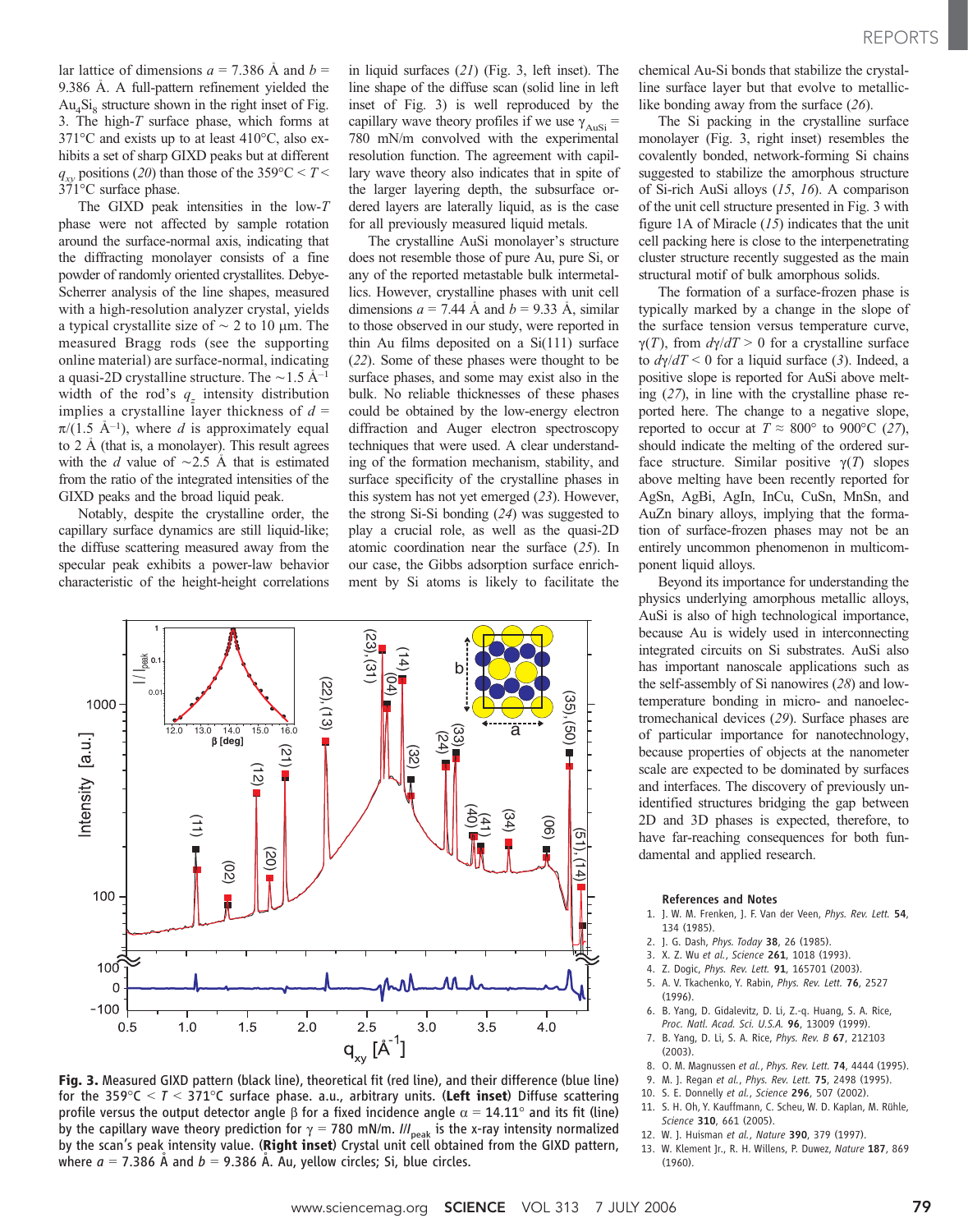lar lattice of dimensions  $a = 7.386$  Å and  $b =$ 9.386  $\AA$ . A full-pattern refinement yielded the  $Au<sub>4</sub>Si<sub>8</sub>$  structure shown in the right inset of Fig. 3. The high-T surface phase, which forms at  $371^{\circ}$ C and exists up to at least  $410^{\circ}$ C, also exhibits a set of sharp GIXD peaks but at different  $q_{xy}$  positions (20) than those of the 359°C < T <  $371^{\circ}$ C surface phase.

The GIXD peak intensities in the low-T phase were not affected by sample rotation around the surface-normal axis, indicating that the diffracting monolayer consists of a fine powder of randomly oriented crystallites. Debye-Scherrer analysis of the line shapes, measured with a high-resolution analyzer crystal, yields a typical crystallite size of  $\sim$  2 to 10 µm. The measured Bragg rods (see the supporting online material) are surface-normal, indicating a quasi-2D crystalline structure. The  $\sim$  1.5 Å<sup>-1</sup> width of the rod's  $q_z$  intensity distribution implies a crystalline layer thickness of  $d =$  $\pi/(1.5 \text{ Å}^{-1})$ , where d is approximately equal to  $2 \text{ Å}$  (that is, a monolayer). This result agrees with the d value of  $\sim$ 2.5 Å that is estimated from the ratio of the integrated intensities of the GIXD peaks and the broad liquid peak.

Notably, despite the crystalline order, the capillary surface dynamics are still liquid-like; the diffuse scattering measured away from the specular peak exhibits a power-law behavior characteristic of the height-height correlations in liquid surfaces (21) (Fig. 3, left inset). The line shape of the diffuse scan (solid line in left inset of Fig. 3) is well reproduced by the capillary wave theory profiles if we use  $\gamma_{\text{Ansi}} =$ 780 mN/m convolved with the experimental resolution function. The agreement with capillary wave theory also indicates that in spite of the larger layering depth, the subsurface ordered layers are laterally liquid, as is the case for all previously measured liquid metals.

The crystalline AuSi monolayer's structure does not resemble those of pure Au, pure Si, or any of the reported metastable bulk intermetallics. However, crystalline phases with unit cell dimensions  $a = 7.44$  Å and  $b = 9.33$  Å, similar to those observed in our study, were reported in thin Au films deposited on a Si(111) surface (22). Some of these phases were thought to be surface phases, and some may exist also in the bulk. No reliable thicknesses of these phases could be obtained by the low-energy electron diffraction and Auger electron spectroscopy techniques that were used. A clear understanding of the formation mechanism, stability, and surface specificity of the crystalline phases in this system has not yet emerged (23). However, the strong Si-Si bonding (24) was suggested to play a crucial role, as well as the quasi-2D atomic coordination near the surface (25). In our case, the Gibbs adsorption surface enrichment by Si atoms is likely to facilitate the



Fig. 3. Measured GIXD pattern (black line), theoretical fit (red line), and their difference (blue line) for the 359 $\degree$ C  $\lt$   $\degree$   $\lt$  371 $\degree$ C surface phase. a.u., arbitrary units. (Left inset) Diffuse scattering profile versus the output detector angle  $\beta$  for a fixed incidence angle  $\alpha = 14.11^{\circ}$  and its fit (line) by the capillary wave theory prediction for  $\gamma =$  780 mN/m. I/I<sub>peak</sub> is the x-ray intensity normalized by the scan's peak intensity value. (Right inset) Crystal unit cell obtained from the GIXD pattern, where  $a = 7.386$  Å and  $b = 9.386$  Å. Au, yellow circles; Si, blue circles.

chemical Au-Si bonds that stabilize the crystalline surface layer but that evolve to metalliclike bonding away from the surface (26).

The Si packing in the crystalline surface monolayer (Fig. 3, right inset) resembles the covalently bonded, network-forming Si chains suggested to stabilize the amorphous structure of Si-rich AuSi alloys (15, 16). A comparison of the unit cell structure presented in Fig. 3 with figure 1A of Miracle  $(15)$  indicates that the unit cell packing here is close to the interpenetrating cluster structure recently suggested as the main structural motif of bulk amorphous solids.

The formation of a surface-frozen phase is typically marked by a change in the slope of the surface tension versus temperature curve,  $\gamma(T)$ , from  $d\gamma/dT > 0$  for a crystalline surface to  $d\gamma/dT < 0$  for a liquid surface (3). Indeed, a positive slope is reported for AuSi above melting (27), in line with the crystalline phase reported here. The change to a negative slope, reported to occur at  $T \approx 800^{\circ}$  to 900°C (27), should indicate the melting of the ordered surface structure. Similar positive  $\gamma(T)$  slopes above melting have been recently reported for AgSn, AgBi, AgIn, InCu, CuSn, MnSn, and AuZn binary alloys, implying that the formation of surface-frozen phases may not be an entirely uncommon phenomenon in multicomponent liquid alloys.

Beyond its importance for understanding the physics underlying amorphous metallic alloys, AuSi is also of high technological importance, because Au is widely used in interconnecting integrated circuits on Si substrates. AuSi also has important nanoscale applications such as the self-assembly of Si nanowires (28) and lowtemperature bonding in micro- and nanoelectromechanical devices (29). Surface phases are of particular importance for nanotechnology, because properties of objects at the nanometer scale are expected to be dominated by surfaces and interfaces. The discovery of previously unidentified structures bridging the gap between 2D and 3D phases is expected, therefore, to have far-reaching consequences for both fundamental and applied research.

#### References and Notes

- 1. J. W. M. Frenken, J. F. Van der Veen, Phys. Rev. Lett. 54, 134 (1985).
- 2. J. G. Dash, Phys. Today 38, 26 (1985).
- 3. X. Z. Wu et al., Science 261, 1018 (1993).
- 4. Z. Dogic, Phys. Rev. Lett. 91, 165701 (2003).
- 5. A. V. Tkachenko, Y. Rabin, Phys. Rev. Lett. 76, 2527 (1996).
- 6. B. Yang, D. Gidalevitz, D. Li, Z.-q. Huang, S. A. Rice, Proc. Natl. Acad. Sci. U.S.A. 96, 13009 (1999).
- 7. B. Yang, D. Li, S. A. Rice, Phys. Rev. B 67, 212103 (2003).
- 8. O. M. Magnussen et al., Phys. Rev. Lett. 74, 4444 (1995).
- 9. M. J. Regan et al., Phys. Rev. Lett. 75, 2498 (1995).
- 10. S. E. Donnelly et al., Science 296, 507 (2002).
- 11. S. H. Oh, Y. Kauffmann, C. Scheu, W. D. Kaplan, M. Rühle, Science 310, 661 (2005).
- 12. W. J. Huisman et al., Nature 390, 379 (1997).
- 13. W. Klement Jr., R. H. Willens, P. Duwez, Nature 187, 869 (1960).